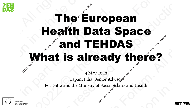

## The European<br>Health Data Space Health Data Space and TEHDAS What is already there? **2022 The Electro Forum.**<br>Health D<br>What is alm EHDAS<br>
2022<br>
enior Advisors reserved and Health<br>
of Social Affairs and Health<br>
Agency of Social Affairs and Health **2022 Propriet The Medith Data Space**<br> **2022 And TEHDAS**<br> **Propriet is already there?**<br>
For Sitra and the Ministry of Social Afairs and Health<br>
For Sitra and the Ministry of Social Afairs and Health<br> **Example 1948 2021 Property Control Property Control Property**<br> **2021 Control Property Control Property Control of Property Property Property**<br>
Property For Stra and the Ministry of Social **2021 CHECALL REPRODUCED**<br> **2021 CHECALL REPRODUCT**<br> **2021 CHECALL REPRODUCT**<br> **2021 Constrained the Ministry of Social Affairs and Health**<br> **2021 Constrained the Ministry of Social Affairs and Health**<br> **2021** STREET 2021 © The MedTech Forum. All rights reserved - Reproduction in whole or in part is prohibited. **2021 CHECALL REPRODUCED**<br> **2021 CHECALL REPRODUCT**<br> **2021 CHECALL REPRODUCT**<br> **2021 Constrained the Ministry of Social Affairs and Health**<br> **2021 Constrained the Ministry of Social Affairs and Health**<br> **2021** STREET **2021 Part 12021 Part is all readith Data Space<br>
2021 <b>All TEHDAS**<br>
What is already there?<br>
For Stra and the Ministry of Social Afairs and Health<br>
For Stra and the Ministry of Social Afairs and Health<br>
SITRE **2021 CHECALL REPRODUCED**<br> **2021 CHECALL REPRODUCT**<br> **2021 CHECALL REPRODUCT**<br> **2021 Constrained the Ministry of Social Affairs and Health**<br> **2021 Constrained the Ministry of Social Affairs and Health**<br> **2021** STREET

4 May 2022 Tapani Piha, Senior Advisors For Sitra and the Ministry of Social Affairs and Health



Co-funded by The Health Programme of the European Union

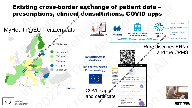### Existing cross-border exchange of patient data prescriptions, clinical consultations, COVID apps

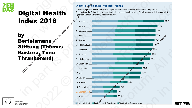![](_page_2_Picture_0.jpeg)

## Digital Health Index 2018

by **Bertelsmann Stiftung (Thomas** Kostera, Timo **Thranberend)** 

![](_page_2_Picture_3.jpeg)

Co-funded by The Health Programme of the European Union

![](_page_2_Figure_7.jpeg)

![](_page_2_Picture_8.jpeg)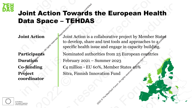![](_page_3_Picture_0.jpeg)

## **Joint Action Towards the European Health** Data Space – TEHDAS

**Project coordinator**

**Joint Action**  $e^{e^{x}}$  Joint Action is a collaborative project by Member States to develop, share and test tools and approaches to  $a_{\phi}$ <sup>on</sup> specific health issue and engage in capacity building. **Participants** Nominated authorities from 25 European countries **Duration** February 2021 – Summer 2023 **Co-funding**  $\epsilon_4$  **million - EU 60%, Member States**  $40\%$ Sitra, Finnish Innovation Fund **OINT Action Towards<br>
Example - TEHDAS**<br>
Dint Action<br>
int Action<br>
int Action<br>
in the Media Specific health is<br>
articipants<br>
articipants<br>
articipants<br>
February 2021<br>
E4 million - EU bllaborative project by Member States<br>
and test tools and approaches to  $a_s$  are<br>
the and engage in capacity building.<br>
ities from 25 European countrries<br>
ummer 2023<br>
22, Member States 40%<br>
ovation Fund 2022 CHE MEDERICAN FOR THE MEDIA CONTROLL TO JOURNAL THE MANUSOR CONTROLL TO JOURNAL THE MEDIA CONTROLL TO A SUPPOSE THE MANUSOR CONTROLL TO SALE REPRODUCED. THE MANUSOR CONTROLL TO SALE CONTROLL TO SALE CONTROLL TO SALE C **DAS**<br> **Data Space - TEHDAS**<br>
Joint Action<br>
Joint Action<br>
Joint Action<br>
to develop, share and test<br>
participants<br>
Participants<br>
Duration<br>
Co-funding<br>
Project<br>
eq million - EU 60%, Mer<br>
Sitra, Finnish Innovation<br>
Coordinat **2021**<br>
2021 Coint Action Towards the European Health<br>
Data Space – TEHDAS<br>
Joint Action is a collaborative project by Member States<br>
to develop, share and test tools and approaches to as<br>
pecific health issue and engage i **2021 Control Control Control Control Control Control Control Control Control Control Control Control Control Control Control Control Control Control Control Control Control Control Control Control Control Control Control 2021**<br>
2021 Coint Action Towards the European Health<br>
Data Space – TEHDAS<br>
Joint Action is a collaborative project by Member States<br>
to develop, share and test tools and approaches to as<br>
pecific health issue and engage i **Example 2021**<br>
2021 Contraction **CONSTERS**<br>
2011 Action is a collaborative project by Member States<br>
to develop, share and test tools and approaches to are<br>
specific health issue and engage in capacity building.<br>
Nominate **2021**<br>
2021 Coint Action Towards the European Health<br>
Data Space – TEHDAS<br>
Joint Action is a collaborative project by Member States<br>
to develop, share and test tools and approaches to as<br>
pecific health issue and engage i

![](_page_3_Picture_5.jpeg)

Co-funded by The Health Programme of the European Union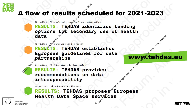![](_page_4_Picture_0.jpeg)

## A flow of results scheduled for 2021-2023

WWW.TEHDAS. TEHDAS provides W of results scheduled for 2021-2023<br>
RESULTS: TEHDAS identifies funding<br>
data<br>
data<br>
strategy FS: TEHDAS establishes<br>
partnerships<br>
mann middlelines for data<br>
partnerships<br>
RESULTS: TEHDAS provides<br>
interoperability<br>
RESU **2021 -2023<br>
2021 -2023<br>
2021 -2023<br>
2021 -2023<br>
2021 -2023<br>
2021 -2023<br>
2021 -2023<br>
2021 -2023<br>
2021 -3023<br>
2021 -3023<br>
2021 -3023<br>
2022 -3023<br>
2022 -3023<br>
2022 -3023<br>
2022 -3023<br>
2022 -3023<br>
2022 -3023<br>
2022 -3023<br>
2022** 2021-2023<br>
2021-2023<br>
2021-2023<br>
2021-2023<br>
2021-2023<br>
2021-2023<br>
2021-12023<br>
2021-12023<br>
2021-12023<br>
2021-12023<br>
2021-13: TEHDAS establishes<br>
European guidelines for data<br>
2022-2023<br>
2021-12023<br>
2022-2023<br>
2021-13: TEHDAS **2021 -2023<br>
2021 -2023<br>
2021 -2023<br>
2021 -2023<br>
2021 -2023<br>
2021 -2023<br>
2021 -2023<br>
2021 -2023<br>
2021 -3023<br>
2021 -3023<br>
2021 -3023<br>
2022 -3023<br>
2022 -3023<br>
2022 -3023<br>
2022 -3023<br>
2022 -3023<br>
2022 -3023<br>
2022 -3023<br>
2022** 2021-2023<br>
2021-2023<br>
2021-2023<br>
2021-2023<br>
2021-2023<br>
2021-3023<br>
2021-3023<br>
2021-3023<br>
2021-3023<br>
2021-0023<br>
2021-0023<br>
2021-0023<br>
2021-0023<br>
2021-0023<br>
2021-0023<br>
2021-0023<br>
2021-0023<br>
2022-0023<br>
2022-0023<br>
2022-0023<br>
20 **2021 -2023<br>
2021 -2023<br>
2021 -2023<br>
2021 -2023<br>
2021 -2023<br>
2021 -2023<br>
2021 -2023<br>
2021 -2023<br>
2021 -3023<br>
2021 -3023<br>
2021 -3023<br>
2022 -3023<br>
2022 -3023<br>
2022 -3023<br>
2022 -3023<br>
2022 -3023<br>
2022 -3023<br>
2022 -3023<br>
2022** 

**2021 CHESULTS:** TEHDAS established in the median interpretation in detail in partnerships<br> **2021 CHESULTS:** TEHDAS established European guidelines for das partnerships<br> **2022 CHESULTS:** TEHDAS provides recommendations on

2022 Contraction in the Media Contraction in the Media Contraction in the Second Second Second in the Media Contraction in the Second Second Second Second Second Second Second Second Second Second Second Second Second Seco

5

![](_page_4_Picture_10.jpeg)

![](_page_4_Picture_11.jpeg)

![](_page_4_Picture_12.jpeg)